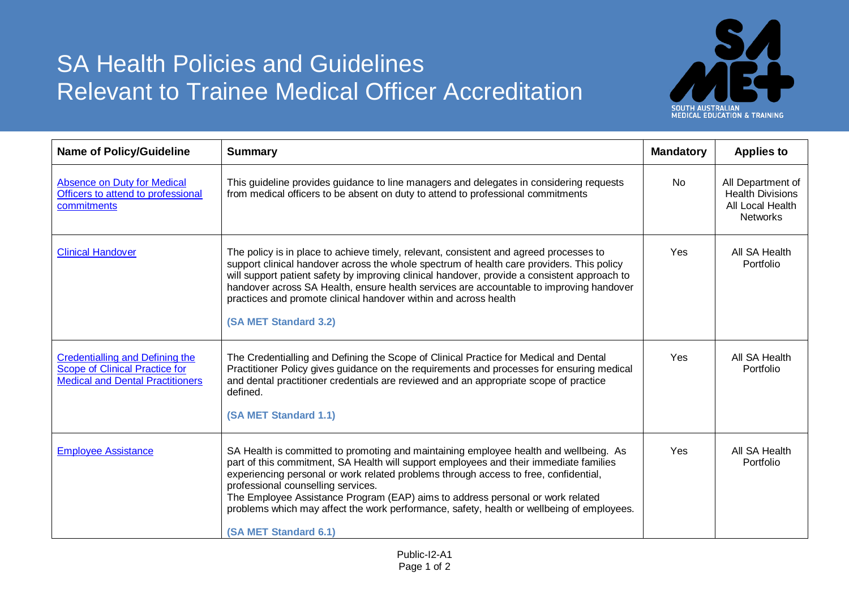## SA Health Policies and Guidelines Relevant to Trainee Medical Officer Accreditation



| <b>Name of Policy/Guideline</b>                                                                                     | <b>Summary</b>                                                                                                                                                                                                                                                                                                                                                                                                                                                                                                        |     | <b>Applies to</b>                                                                   |
|---------------------------------------------------------------------------------------------------------------------|-----------------------------------------------------------------------------------------------------------------------------------------------------------------------------------------------------------------------------------------------------------------------------------------------------------------------------------------------------------------------------------------------------------------------------------------------------------------------------------------------------------------------|-----|-------------------------------------------------------------------------------------|
| Absence on Duty for Medical<br>Officers to attend to professional<br>commitments                                    | This guideline provides guidance to line managers and delegates in considering requests<br>from medical officers to be absent on duty to attend to professional commitments                                                                                                                                                                                                                                                                                                                                           |     | All Department of<br><b>Health Divisions</b><br>All Local Health<br><b>Networks</b> |
| <b>Clinical Handover</b>                                                                                            | The policy is in place to achieve timely, relevant, consistent and agreed processes to<br>support clinical handover across the whole spectrum of health care providers. This policy<br>will support patient safety by improving clinical handover, provide a consistent approach to<br>handover across SA Health, ensure health services are accountable to improving handover<br>practices and promote clinical handover within and across health<br>(SA MET Standard 3.2)                                           |     | All SA Health<br>Portfolio                                                          |
| Credentialling and Defining the<br><b>Scope of Clinical Practice for</b><br><b>Medical and Dental Practitioners</b> | The Credentialling and Defining the Scope of Clinical Practice for Medical and Dental<br>Practitioner Policy gives guidance on the requirements and processes for ensuring medical<br>and dental practitioner credentials are reviewed and an appropriate scope of practice<br>defined.<br>(SA MET Standard 1.1)                                                                                                                                                                                                      | Yes | All SA Health<br>Portfolio                                                          |
| <b>Employee Assistance</b>                                                                                          | SA Health is committed to promoting and maintaining employee health and wellbeing. As<br>part of this commitment, SA Health will support employees and their immediate families<br>experiencing personal or work related problems through access to free, confidential,<br>professional counselling services.<br>The Employee Assistance Program (EAP) aims to address personal or work related<br>problems which may affect the work performance, safety, health or wellbeing of employees.<br>(SA MET Standard 6.1) |     | All SA Health<br>Portfolio                                                          |